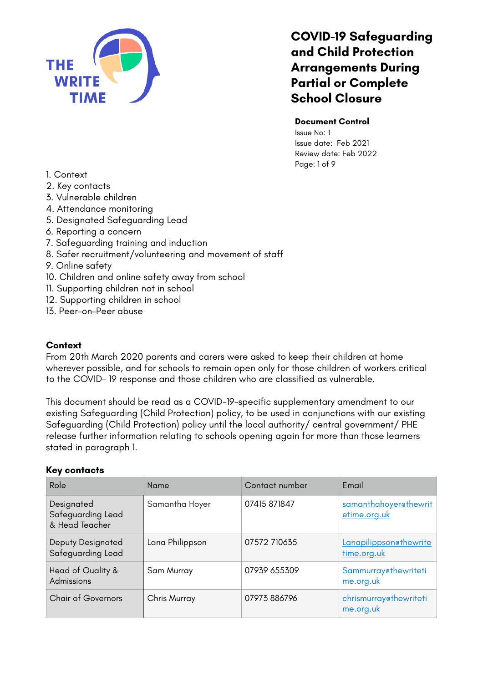

### **Document Control**

Issue No: 1 Issue date: Feb 2021 Review date: Feb 2022 Page: 1 of 9

- 1. Context
- 2. Key contacts
- 3. Vulnerable children
- 4. Attendance monitoring
- 5. Designated Safeguarding Lead
- 6. Reporting a concern
- 7. Safeguarding training and induction
- 8. Safer recruitment/volunteering and movement of staff
- 9. Online safety
- 10. Children and online safety away from school
- 11. Supporting children not in school
- 12. Supporting children in school
- 13. Peer-on-Peer abuse

### **Context**

From 20th March 2020 parents and carers were asked to keep their children at home wherever possible, and for schools to remain open only for those children of workers critical to the COVID- 19 response and those children who are classified as vulnerable.

This document should be read as a COVID-19-specific supplementary amendment to our existing Safeguarding (Child Protection) policy, to be used in conjunctions with our existing Safeguarding (Child Protection) policy until the local authority/ central government/ PHE release further information relating to schools opening again for more than those learners stated in paragraph 1.

### **Key contacts**

| Role                                              | Name            | Contact number | <b>Email</b>                          |
|---------------------------------------------------|-----------------|----------------|---------------------------------------|
| Designated<br>Safeguarding Lead<br>& Head Teacher | Samantha Hoyer  | 07415 871847   | samanthahoyer@thewrit<br>etime.org.uk |
| <b>Deputy Designated</b><br>Safeguarding Lead     | Lana Philippson | 07572 710635   | Lanapilippsonethewrite<br>time.org.uk |
| Head of Quality &<br>Admissions                   | Sam Murray      | 07939 655309   | Sammurrayethewriteti<br>me.org.uk     |
| <b>Chair of Governors</b>                         | Chris Murray    | 07973 886796   | chrismurray@thewriteti<br>me.org.uk   |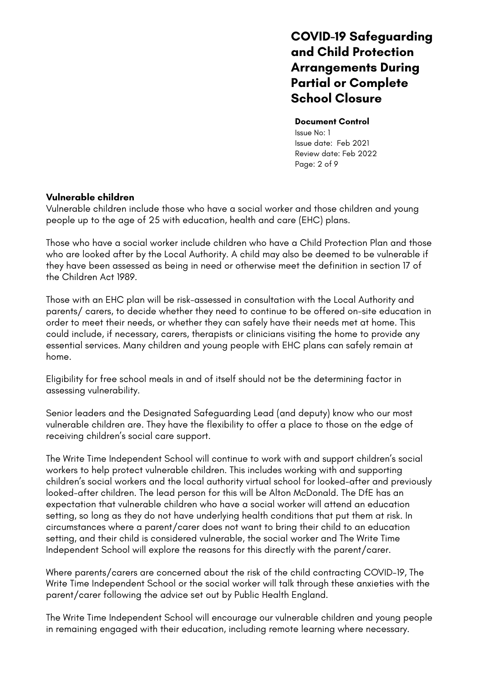#### **Document Control**

Issue No: 1 Issue date: Feb 2021 Review date: Feb 2022 Page: 2 of 9

## **Vulnerable children**

Vulnerable children include those who have a social worker and those children and young people up to the age of 25 with education, health and care (EHC) plans.

Those who have a social worker include children who have a Child Protection Plan and those who are looked after by the Local Authority. A child may also be deemed to be vulnerable if they have been assessed as being in need or otherwise meet the definition in section 17 of the Children Act 1989.

Those with an EHC plan will be risk-assessed in consultation with the Local Authority and parents/ carers, to decide whether they need to continue to be offered on-site education in order to meet their needs, or whether they can safely have their needs met at home. This could include, if necessary, carers, therapists or clinicians visiting the home to provide any essential services. Many children and young people with EHC plans can safely remain at home.

Eligibility for free school meals in and of itself should not be the determining factor in assessing vulnerability.

Senior leaders and the Designated Safeguarding Lead (and deputy) know who our most vulnerable children are. They have the flexibility to offer a place to those on the edge of receiving children's social care support.

The Write Time Independent School will continue to work with and support children's social workers to help protect vulnerable children. This includes working with and supporting children's social workers and the local authority virtual school for looked-after and previously looked-after children. The lead person for this will be Alton McDonald. The DfE has an expectation that vulnerable children who have a social worker will attend an education setting, so long as they do not have underlying health conditions that put them at risk. In circumstances where a parent/carer does not want to bring their child to an education setting, and their child is considered vulnerable, the social worker and The Write Time Independent School will explore the reasons for this directly with the parent/carer.

Where parents/carers are concerned about the risk of the child contracting COVID-19, The Write Time Independent School or the social worker will talk through these anxieties with the parent/carer following the advice set out by Public Health England.

The Write Time Independent School will encourage our vulnerable children and young people in remaining engaged with their education, including remote learning where necessary.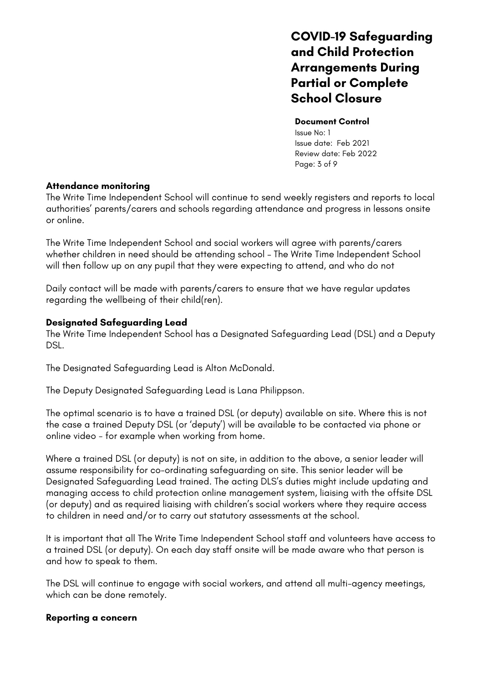### **Document Control**

Issue No: 1 Issue date: Feb 2021 Review date: Feb 2022 Page: 3 of 9

### **Attendance monitoring**

The Write Time Independent School will continue to send weekly registers and reports to local authorities' parents/carers and schools regarding attendance and progress in lessons onsite or online.

The Write Time Independent School and social workers will agree with parents/carers whether children in need should be attending school – The Write Time Independent School will then follow up on any pupil that they were expecting to attend, and who do not

Daily contact will be made with parents/carers to ensure that we have regular updates regarding the wellbeing of their child(ren).

## **Designated Safeguarding Lead**

The Write Time Independent School has a Designated Safeguarding Lead (DSL) and a Deputy DSL.

The Designated Safeguarding Lead is Alton McDonald.

The Deputy Designated Safeguarding Lead is Lana Philippson.

The optimal scenario is to have a trained DSL (or deputy) available on site. Where this is not the case a trained Deputy DSL (or 'deputy') will be available to be contacted via phone or online video - for example when working from home.

Where a trained DSL (or deputy) is not on site, in addition to the above, a senior leader will assume responsibility for co-ordinating safeguarding on site. This senior leader will be Designated Safeguarding Lead trained. The acting DLS's duties might include updating and managing access to child protection online management system, liaising with the offsite DSL (or deputy) and as required liaising with children's social workers where they require access to children in need and/or to carry out statutory assessments at the school.

It is important that all The Write Time Independent School staff and volunteers have access to a trained DSL (or deputy). On each day staff onsite will be made aware who that person is and how to speak to them.

The DSL will continue to engage with social workers, and attend all multi-agency meetings, which can be done remotely.

## **Reporting a concern**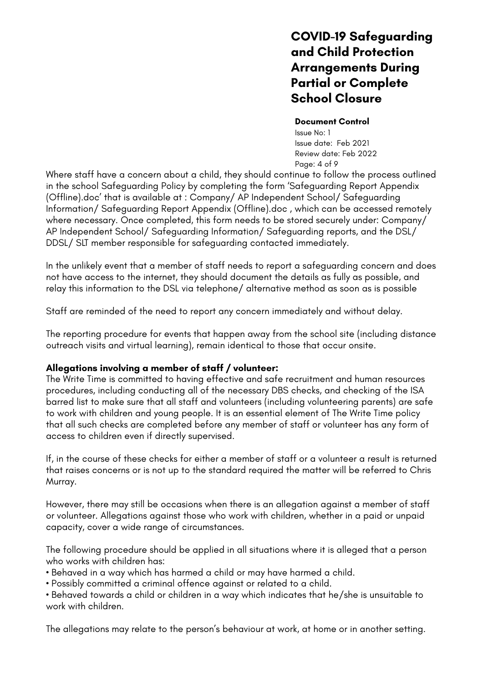#### **Document Control**

Issue No: 1 Issue date: Feb 2021 Review date: Feb 2022 Page: 4 of 9

Where staff have a concern about a child, they should continue to follow the process outlined in the school Safeguarding Policy by completing the form 'Safeguarding Report Appendix (Offline).doc' that is available at : Company/ AP Independent School/ Safeguarding Information/ Safeguarding Report Appendix (Offline).doc , which can be accessed remotely where necessary. Once completed, this form needs to be stored securely under: Company/ AP Independent School/ Safeguarding Information/ Safeguarding reports, and the DSL/ DDSL/ SLT member responsible for safeguarding contacted immediately.

In the unlikely event that a member of staff needs to report a safeguarding concern and does not have access to the internet, they should document the details as fully as possible, and relay this information to the DSL via telephone/ alternative method as soon as is possible

Staff are reminded of the need to report any concern immediately and without delay.

The reporting procedure for events that happen away from the school site (including distance outreach visits and virtual learning), remain identical to those that occur onsite.

## **Allegations involving a member of staff / volunteer:**

The Write Time is committed to having effective and safe recruitment and human resources procedures, including conducting all of the necessary DBS checks, and checking of the ISA barred list to make sure that all staff and volunteers (including volunteering parents) are safe to work with children and young people. It is an essential element of The Write Time policy that all such checks are completed before any member of staff or volunteer has any form of access to children even if directly supervised.

If, in the course of these checks for either a member of staff or a volunteer a result is returned that raises concerns or is not up to the standard required the matter will be referred to Chris Murray.

However, there may still be occasions when there is an allegation against a member of staff or volunteer. Allegations against those who work with children, whether in a paid or unpaid capacity, cover a wide range of circumstances.

The following procedure should be applied in all situations where it is alleged that a person who works with children has:

• Behaved in a way which has harmed a child or may have harmed a child.

• Possibly committed a criminal offence against or related to a child.

• Behaved towards a child or children in a way which indicates that he/she is unsuitable to work with children.

The allegations may relate to the person's behaviour at work, at home or in another setting.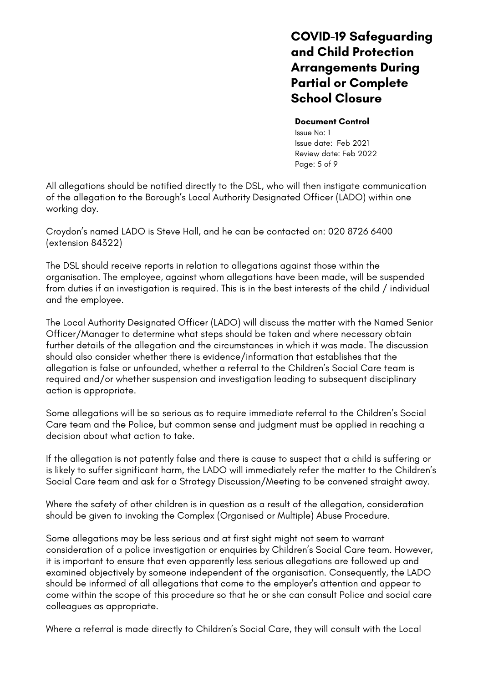#### **Document Control**

Issue No: 1 Issue date: Feb 2021 Review date: Feb 2022 Page: 5 of 9

All allegations should be notified directly to the DSL, who will then instigate communication of the allegation to the Borough's Local Authority Designated Officer (LADO) within one working day.

Croydon's named LADO is Steve Hall, and he can be contacted on: 020 8726 6400 (extension 84322)

The DSL should receive reports in relation to allegations against those within the organisation. The employee, against whom allegations have been made, will be suspended from duties if an investigation is required. This is in the best interests of the child / individual and the employee.

The Local Authority Designated Officer (LADO) will discuss the matter with the Named Senior Officer/Manager to determine what steps should be taken and where necessary obtain further details of the allegation and the circumstances in which it was made. The discussion should also consider whether there is evidence/information that establishes that the allegation is false or unfounded, whether a referral to the Children's Social Care team is required and/or whether suspension and investigation leading to subsequent disciplinary action is appropriate.

Some allegations will be so serious as to require immediate referral to the Children's Social Care team and the Police, but common sense and judgment must be applied in reaching a decision about what action to take.

If the allegation is not patently false and there is cause to suspect that a child is suffering or is likely to suffer significant harm, the LADO will immediately refer the matter to the Children's Social Care team and ask for a Strategy Discussion/Meeting to be convened straight away.

Where the safety of other children is in question as a result of the allegation, consideration should be given to invoking the Complex (Organised or Multiple) Abuse Procedure.

Some allegations may be less serious and at first sight might not seem to warrant consideration of a police investigation or enquiries by Children's Social Care team. However, it is important to ensure that even apparently less serious allegations are followed up and examined objectively by someone independent of the organisation. Consequently, the LADO should be informed of all allegations that come to the employer's attention and appear to come within the scope of this procedure so that he or she can consult Police and social care colleagues as appropriate.

Where a referral is made directly to Children's Social Care, they will consult with the Local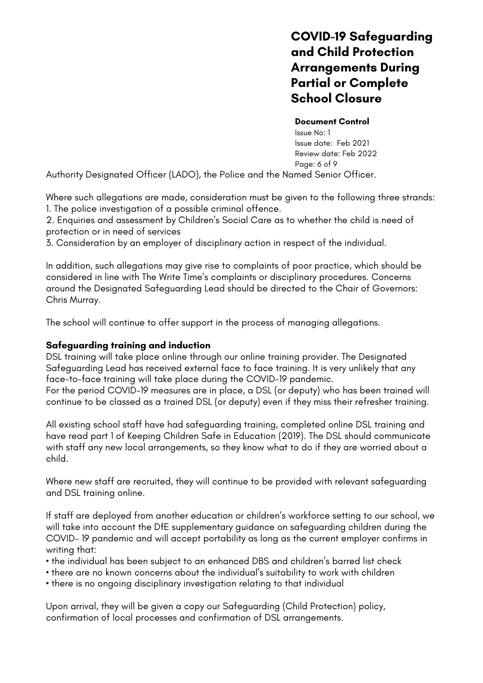#### **Document Control**

Issue No: 1 Issue date: Feb 2021 Review date: Feb 2022 Page: 6 of 9

Authority Designated Officer (LADO), the Police and the Named Senior Officer.

Where such allegations are made, consideration must be given to the following three strands: 1. The police investigation of a possible criminal offence.

2. Enquiries and assessment by Children's Social Care as to whether the child is need of protection or in need of services

3. Consideration by an employer of disciplinary action in respect of the individual.

In addition, such allegations may give rise to complaints of poor practice, which should be considered in line with The Write Time's complaints or disciplinary procedures. Concerns around the Designated Safeguarding Lead should be directed to the Chair of Governors: Chris Murray.

The school will continue to offer support in the process of managing allegations.

## **Safeguarding training and induction**

DSL training will take place online through our online training provider. The Designated Safeguarding Lead has received external face to face training. It is very unlikely that any face-to-face training will take place during the COVID-19 pandemic.

For the period COVID-19 measures are in place, a DSL (or deputy) who has been trained will continue to be classed as a trained DSL (or deputy) even if they miss their refresher training.

All existing school staff have had safeguarding training, completed online DSL training and have read part 1 of Keeping Children Safe in Education (2019). The DSL should communicate with staff any new local arrangements, so they know what to do if they are worried about a child.

Where new staff are recruited, they will continue to be provided with relevant safeguarding and DSL training online.

If staff are deployed from another education or children's workforce setting to our school, we will take into account the DfE supplementary guidance on safeguarding children during the COVID- 19 pandemic and will accept portability as long as the current employer confirms in writing that:

- the individual has been subject to an enhanced DBS and children's barred list check
- there are no known concerns about the individual's suitability to work with children
- there is no ongoing disciplinary investigation relating to that individual

Upon arrival, they will be given a copy our Safeguarding (Child Protection) policy, confirmation of local processes and confirmation of DSL arrangements.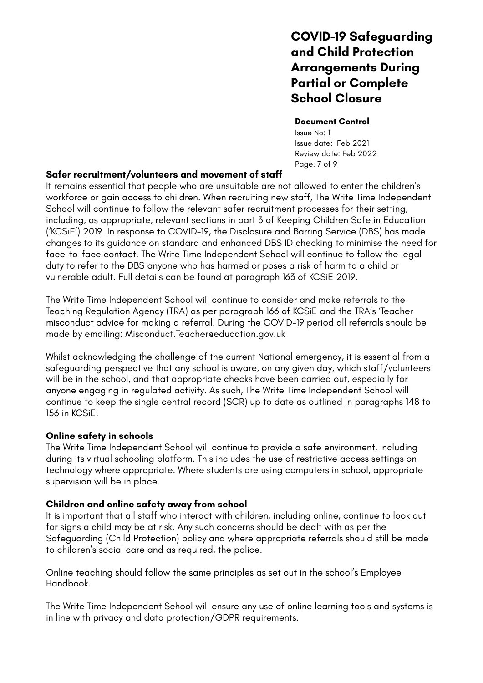#### **Document Control**

Issue No: 1 Issue date: Feb 2021 Review date: Feb 2022 Page: 7 of 9

## **Safer recruitment/volunteers and movement of staff**

It remains essential that people who are unsuitable are not allowed to enter the children's workforce or gain access to children. When recruiting new staff, The Write Time Independent School will continue to follow the relevant safer recruitment processes for their setting, including, as appropriate, relevant sections in part 3 of Keeping Children Safe in Education ('KCSiE') 2019. In response to COVID-19, the Disclosure and Barring Service (DBS) has made changes to its guidance on standard and enhanced DBS ID checking to minimise the need for face-to-face contact. The Write Time Independent School will continue to follow the legal duty to refer to the DBS anyone who has harmed or poses a risk of harm to a child or vulnerable adult. Full details can be found at paragraph 163 of KCSiE 2019.

The Write Time Independent School will continue to consider and make referrals to the Teaching Regulation Agency (TRA) as per paragraph 166 of KCSiE and the TRA's 'Teacher misconduct advice for making a referral. During the COVID-19 period all referrals should be made by emailing: Misconduct.Teacher@education.gov.uk

Whilst acknowledging the challenge of the current National emergency, it is essential from a safeguarding perspective that any school is aware, on any given day, which staff/volunteers will be in the school, and that appropriate checks have been carried out, especially for anyone engaging in regulated activity. As such, The Write Time Independent School will continue to keep the single central record (SCR) up to date as outlined in paragraphs 148 to 156 in KCSiE.

## **Online safety in schools**

The Write Time Independent School will continue to provide a safe environment, including during its virtual schooling platform. This includes the use of restrictive access settings on technology where appropriate. Where students are using computers in school, appropriate supervision will be in place.

## **Children and online safety away from school**

It is important that all staff who interact with children, including online, continue to look out for signs a child may be at risk. Any such concerns should be dealt with as per the Safeguarding (Child Protection) policy and where appropriate referrals should still be made to children's social care and as required, the police.

Online teaching should follow the same principles as set out in the school's Employee Handbook.

The Write Time Independent School will ensure any use of online learning tools and systems is in line with privacy and data protection/GDPR requirements.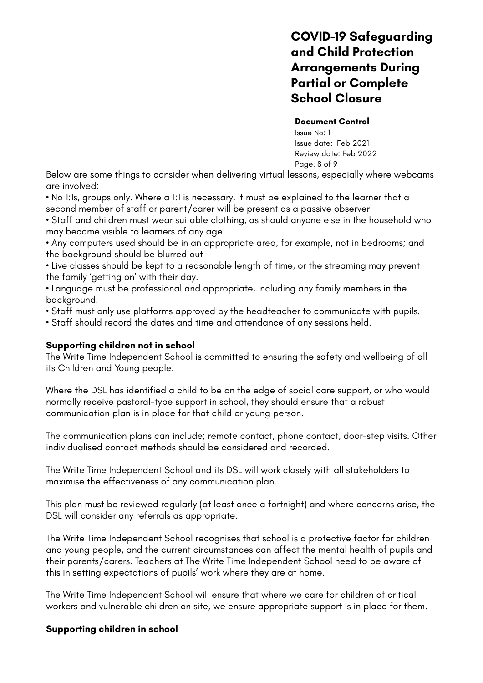#### **Document Control**

Issue No: 1 Issue date: Feb 2021 Review date: Feb 2022 Page: 8 of 9

Below are some things to consider when delivering virtual lessons, especially where webcams are involved:

• No 1:1s, groups only. Where a 1:1 is necessary, it must be explained to the learner that a second member of staff or parent/carer will be present as a passive observer

• Staff and children must wear suitable clothing, as should anyone else in the household who may become visible to learners of any age

• Any computers used should be in an appropriate area, for example, not in bedrooms; and the background should be blurred out

• Live classes should be kept to a reasonable length of time, or the streaming may prevent the family 'getting on' with their day.

• Language must be professional and appropriate, including any family members in the background.

- Staff must only use platforms approved by the headteacher to communicate with pupils.
- Staff should record the dates and time and attendance of any sessions held.

## **Supporting children not in school**

The Write Time Independent School is committed to ensuring the safety and wellbeing of all its Children and Young people.

Where the DSL has identified a child to be on the edge of social care support, or who would normally receive pastoral-type support in school, they should ensure that a robust communication plan is in place for that child or young person.

The communication plans can include; remote contact, phone contact, door-step visits. Other individualised contact methods should be considered and recorded.

The Write Time Independent School and its DSL will work closely with all stakeholders to maximise the effectiveness of any communication plan.

This plan must be reviewed regularly (at least once a fortnight) and where concerns arise, the DSL will consider any referrals as appropriate.

The Write Time Independent School recognises that school is a protective factor for children and young people, and the current circumstances can affect the mental health of pupils and their parents/carers. Teachers at The Write Time Independent School need to be aware of this in setting expectations of pupils' work where they are at home.

The Write Time Independent School will ensure that where we care for children of critical workers and vulnerable children on site, we ensure appropriate support is in place for them.

## **Supporting children in school**